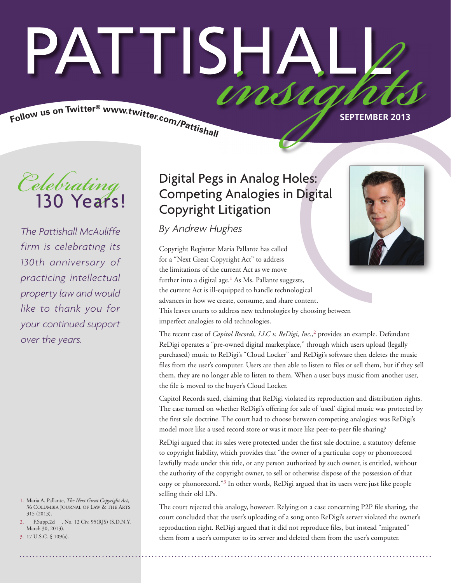# PATTISHA Follow us on Twitter® www.twitter.com/Pattishall

**SEPTEMBER 2013**



*The Pattishall McAuliffe firm is celebrating its 130th anniversary of practicing intellectual property law and would like to thank you for your continued support over the years.*

- 1. Maria A. Pallante, *The Next Great Copyright Act*, 36 COLUMBIA JOURNAL OF LAW & THE ARTS 315 (2013).
- 2. \_\_ F.Supp.2d \_\_, No. 12 Civ. 95(RJS) (S.D.N.Y. March 30, 2013).
- 3. 17 U.S.C. § 109(a).

# Digital Pegs in Analog Holes: Competing Analogies in Digital Copyright Litigation

*By Andrew Hughes*

Copyright Registrar Maria Pallante has called for a "Next Great Copyright Act" to address the limitations of the current Act as we move further into a digital age.<sup>1</sup> As Ms. Pallante suggests, the current Act is ill-equipped to handle technological advances in how we create, consume, and share content. This leaves courts to address new technologies by choosing between imperfect analogies to old technologies.

The recent case of *Capitol Records, LLC v. ReDigi, Inc.*, 2 provides an example. Defendant ReDigi operates a "pre-owned digital marketplace," through which users upload (legally purchased) music to ReDigi's "Cloud Locker" and ReDigi's software then deletes the music files from the user's computer. Users are then able to listen to files or sell them, but if they sell them, they are no longer able to listen to them. When a user buys music from another user, the file is moved to the buyer's Cloud Locker.

Capitol Records sued, claiming that ReDigi violated its reproduction and distribution rights. The case turned on whether ReDigi's offering for sale of 'used' digital music was protected by the first sale doctrine. The court had to choose between competing analogies: was ReDigi's model more like a used record store or was it more like peer-to-peer file sharing?

ReDigi argued that its sales were protected under the first sale doctrine, a statutory defense to copyright liability, which provides that "the owner of a particular copy or phonorecord lawfully made under this title, or any person authorized by such owner, is entitled, without the authority of the copyright owner, to sell or otherwise dispose of the possession of that copy or phonorecord."3 In other words, ReDigi argued that its users were just like people selling their old LPs.

The court rejected this analogy, however. Relying on a case concerning P2P file sharing, the court concluded that the user's uploading of a song onto ReDigi's server violated the owner's reproduction right. ReDigi argued that it did not reproduce files, but instead "migrated" them from a user's computer to its server and deleted them from the user's computer.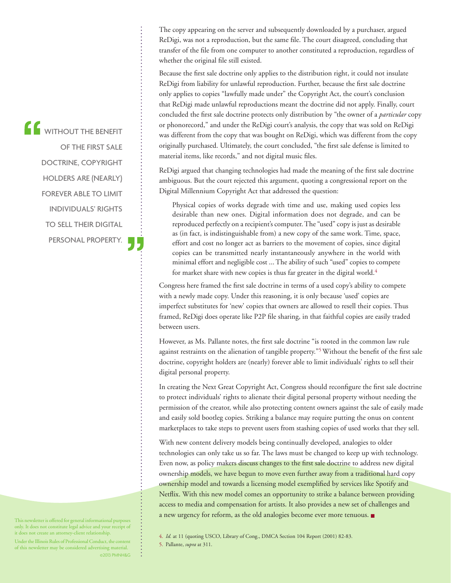**CO** WITHOUT THE BENEFIT OF THE FIRST SALE DOCTRINE, COPYRIGHT HOLDERS ARE (NEARLY) FOREVER ABLE TO LIMIT INDIVIDUALS' RIGHTS TO SELL THEIR DIGITAL PERSONAL PROPERTY.

This newsletter is offered for general informational purposes only. It does not constitute legal advice and your receipt of it does not create an attorney-client relationship.

Under the Illinois Rules of Professional Conduct, the content of this newsletter may be considered advertising material. ©2013 PMNH&G The copy appearing on the server and subsequently downloaded by a purchaser, argued ReDigi, was not a reproduction, but the same file. The court disagreed, concluding that transfer of the file from one computer to another constituted a reproduction, regardless of whether the original file still existed.

Because the first sale doctrine only applies to the distribution right, it could not insulate ReDigi from liability for unlawful reproduction. Further, because the first sale doctrine only applies to copies "lawfully made under" the Copyright Act, the court's conclusion that ReDigi made unlawful reproductions meant the doctrine did not apply. Finally, court concluded the first sale doctrine protects only distribution by "the owner of a *particular* copy or phonorecord," and under the ReDigi court's analysis, the copy that was sold on ReDigi was different from the copy that was bought on ReDigi, which was different from the copy originally purchased. Ultimately, the court concluded, "the first sale defense is limited to material items, like records," and not digital music files.

ReDigi argued that changing technologies had made the meaning of the first sale doctrine ambiguous. But the court rejected this argument, quoting a congressional report on the Digital Millennium Copyright Act that addressed the question:

Physical copies of works degrade with time and use, making used copies less desirable than new ones. Digital information does not degrade, and can be reproduced perfectly on a recipient's computer. The "used" copy is just as desirable as (in fact, is indistinguishable from) a new copy of the same work. Time, space, effort and cost no longer act as barriers to the movement of copies, since digital copies can be transmitted nearly instantaneously anywhere in the world with minimal effort and negligible cost ... The ability of such "used" copies to compete for market share with new copies is thus far greater in the digital world.<sup>4</sup>

Congress here framed the first sale doctrine in terms of a used copy's ability to compete with a newly made copy. Under this reasoning, it is only because 'used' copies are imperfect substitutes for 'new' copies that owners are allowed to resell their copies. Thus framed, ReDigi does operate like P2P file sharing, in that faithful copies are easily traded between users.

However, as Ms. Pallante notes, the first sale doctrine "is rooted in the common law rule against restraints on the alienation of tangible property."<sup>5</sup> Without the benefit of the first sale doctrine, copyright holders are (nearly) forever able to limit individuals' rights to sell their digital personal property.

In creating the Next Great Copyright Act, Congress should reconfigure the first sale doctrine to protect individuals' rights to alienate their digital personal property without needing the permission of the creator, while also protecting content owners against the sale of easily made and easily sold bootleg copies. Striking a balance may require putting the onus on content marketplaces to take steps to prevent users from stashing copies of used works that they sell.

With new content delivery models being continually developed, analogies to older technologies can only take us so far. The laws must be changed to keep up with technology. Even now, as policy makers discuss changes to the first sale doctrine to address new digital ownership models, we have begun to move even further away from a traditional hard copy ownership model and towards a licensing model exemplified by services like Spotify and Netflix. With this new model comes an opportunity to strike a balance between providing access to media and compensation for artists. It also provides a new set of challenges and a new urgency for reform, as the old analogies become ever more tenuous. ■

<sup>4.</sup> *Id.* at 11 (quoting USCO, Library of Cong., DMCA Section 104 Report (2001) 82-83.

<sup>5.</sup> Pallante, *supra* at 311.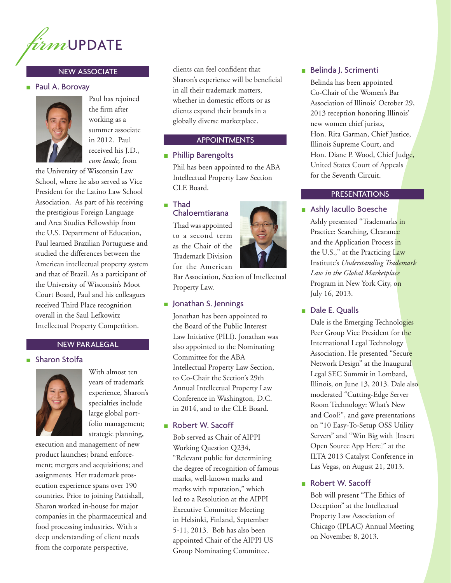

#### NEW ASSOCIATE

#### ■ Paul A. Borovay



Paul has rejoined the firm after working as a summer associate in 2012. Paul received his J.D., *cum laude,* from

the University of Wisconsin Law School, where he also served as Vice President for the Latino Law School Association. As part of his receiving the prestigious Foreign Language and Area Studies Fellowship from the U.S. Department of Education, Paul learned Brazilian Portuguese and studied the differences between the American intellectual property system and that of Brazil. As a participant of the University of Wisconsin's Moot Court Board, Paul and his colleagues received Third Place recognition overall in the Saul Lefkowitz Intellectual Property Competition.

# NEW PARALEGAL

#### ■ Sharon Stolfa



With almost ten years of trademark experience, Sharon's specialties include large global portfolio management; strategic planning,

execution and management of new product launches; brand enforcement; mergers and acquisitions; and assignments. Her trademark prosecution experience spans over 190 countries. Prior to joining Pattishall, Sharon worked in-house for major companies in the pharmaceutical and food processing industries. With a deep understanding of client needs from the corporate perspective,

clients can feel confident that Sharon's experience will be beneficial in all their trademark matters, whether in domestic efforts or as clients expand their brands in a globally diverse marketplace.

#### APPOINTMENTS

# ■ Phillip Barengolts

Phil has been appointed to the ABA Intellectual Property Law Section CLE Board.

■ Thad Chaloemtiarana

> Thad was appointed to a second term as the Chair of the Trademark Division for the American



Bar Association, Section of Intellectual Property Law.

#### ■ Jonathan S. Jennings

Jonathan has been appointed to the Board of the Public Interest Law Initiative (PILI). Jonathan was also appointed to the Nominating Committee for the ABA Intellectual Property Law Section, to Co-Chair the Section's 29th Annual Intellectual Property Law Conference in Washington, D.C. in 2014, and to the CLE Board.

# ■ Robert W. Sacoff

Bob served as Chair of AIPPI Working Question Q234, "Relevant public for determining the degree of recognition of famous marks, well-known marks and marks with reputation," which led to a Resolution at the AIPPI Executive Committee Meeting in Helsinki, Finland, September 5-11, 2013. Bob has also been appointed Chair of the AIPPI US Group Nominating Committee.

#### ■ Belinda J. Scrimenti

Belinda has been appointed Co-Chair of the Women's Bar Association of Illinois' October 29, 2013 reception honoring Illinois' new women chief jurists, Hon. Rita Garman, Chief Justice, Illinois Supreme Court, and Hon. Diane P. Wood, Chief Judge, United States Court of Appeals for the Seventh Circuit.

#### PRESENTATIONS

■ Ashly Iacullo Boesche

Ashly presented "Trademarks in Practice: Searching, Clearance and the Application Process in the U.S.," at the Practicing Law Institute's *Understanding Trademark Law in the Global Marketplace* Program in New York City, on July 16, 2013.

#### ■ Dale E. Qualls

Dale is the Emerging Technologies Peer Group Vice President for the International Legal Technology Association. He presented "Secure Network Design" at the Inaugural Legal SEC Summit in Lombard, Illinois, on June 13, 2013. Dale also moderated "Cutting-Edge Server Room Technology: What's New and Cool?", and gave presentations on "10 Easy-To-Setup OSS Utility Servers" and "Win Big with [Insert Open Source App Here]" at the ILTA 2013 Catalyst Conference in Las Vegas, on August 21, 2013.

#### ■ Robert W. Sacoff

Bob will present "The Ethics of Deception" at the Intellectual Property Law Association of Chicago (IPLAC) Annual Meeting on November 8, 2013.